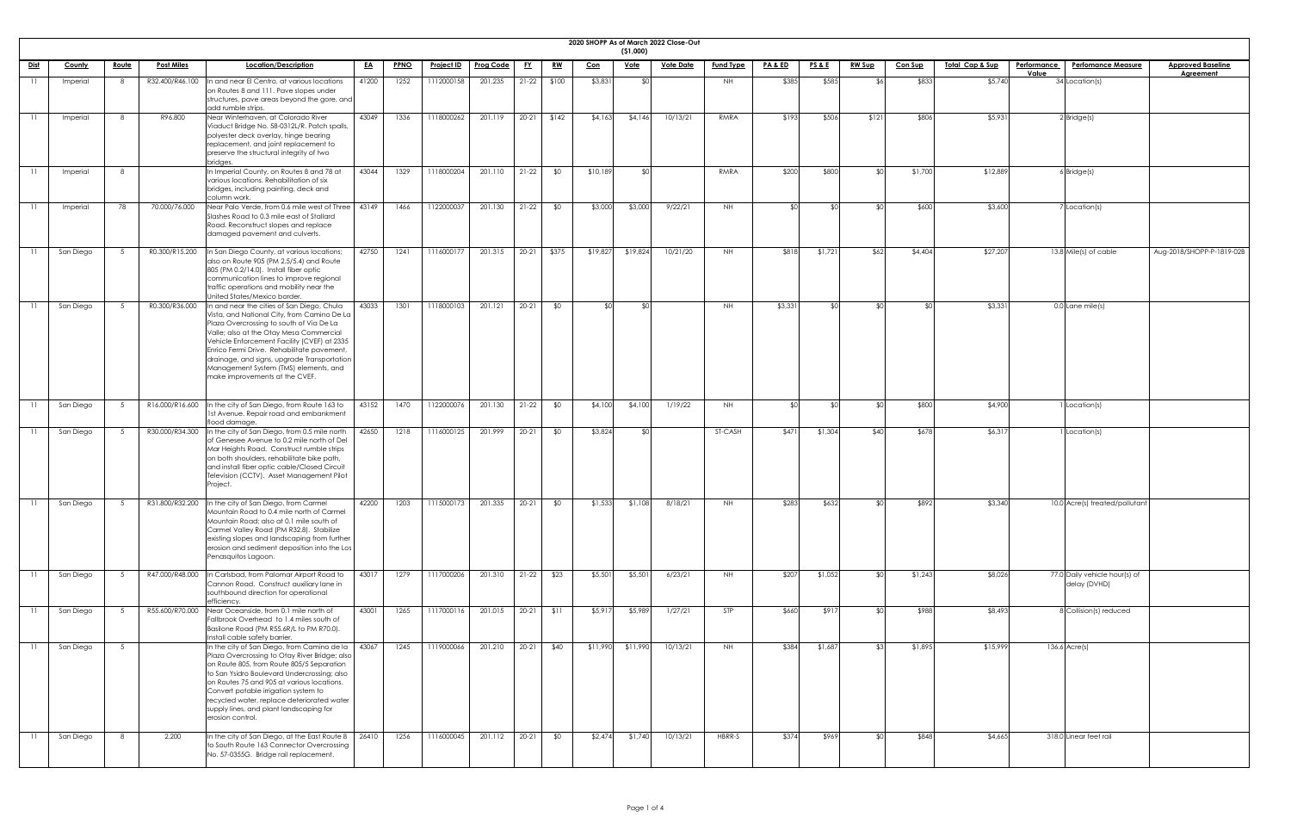|             |           |              |                   |                                                                                                                                                                                                                                                                                                                                                                                                        |           |             |                   |                  |           |           |          | ( \$1,000)          | 2020 SHOPP As of March 2022 Close-Out |                  |                    |                 |               |                |                             |                                                 |                           |
|-------------|-----------|--------------|-------------------|--------------------------------------------------------------------------------------------------------------------------------------------------------------------------------------------------------------------------------------------------------------------------------------------------------------------------------------------------------------------------------------------------------|-----------|-------------|-------------------|------------------|-----------|-----------|----------|---------------------|---------------------------------------|------------------|--------------------|-----------------|---------------|----------------|-----------------------------|-------------------------------------------------|---------------------------|
| <u>Dist</u> | County    | <u>Route</u> | <u>Post Miles</u> | Location/Description                                                                                                                                                                                                                                                                                                                                                                                   | <u>EA</u> | <b>PPNO</b> | <b>Project ID</b> | <b>Prog Code</b> | <u>FY</u> | <u>RW</u> | Con      | <u>Vote</u>         | <u>Vote Date</u>                      | <b>Fund Type</b> | <b>PA &amp; ED</b> | <b>PS&amp;E</b> | <u>RW Sup</u> | <b>Con Sup</b> | <u> Total Cap &amp; Sup</u> | <b>Performance</b><br><b>Perfomance Measure</b> | <b>Approved Baseline</b>  |
|             |           |              |                   |                                                                                                                                                                                                                                                                                                                                                                                                        |           |             |                   |                  |           |           |          |                     |                                       |                  |                    |                 |               |                |                             | Value                                           | <b>Agreement</b>          |
|             | Imperial  |              | R32.400/R46.100   | In and near El Centro, at various locations<br>on Routes 8 and 111. Pave slopes under<br>structures, pave areas beyond the gore, and<br>add rumble strips.                                                                                                                                                                                                                                             | 41200     | 1252        | 1112000158        | 201.235          | $21-22$   | \$100     | \$3,83   |                     |                                       | NH.              | \$385              | \$585           |               | \$833          | \$5,740                     | 34 Location(s)                                  |                           |
|             | Imperial  | - 8          | R96.800           | Near Winterhaven, at Colorado River<br>Viaduct Bridge No. 58-0312L/R. Patch spalls,<br>polyester deck overlay, hinge bearing<br>replacement, and joint replacement to<br>preserve the structural integrity of two<br>bridges.                                                                                                                                                                          | 43049     | 1336        | 1118000262        | 201.119          | $20 - 21$ | \$142     | \$4,16   | \$4,146             | 10/13/21                              | RMRA             | \$193              | \$506           | \$121         | \$806          | \$5,93                      | $2$ Bridge(s)                                   |                           |
|             | Imperial  |              |                   | In Imperial County, on Routes 8 and 78 at<br>various locations. Rehabilitation of six<br>bridges, including painting, deck and<br>column work.                                                                                                                                                                                                                                                         | 43044     | 1329        | 1118000204        | 201.110          | $21-22$   | \$0       | \$10,189 |                     |                                       | RMRA             | \$200              | \$800           |               | \$1,700        | \$12,889                    | $6$ Bridge $(s)$                                |                           |
|             | Imperial  | 78           | 70.000/76.000     | Near Palo Verde, from 0.6 mile west of Three<br>Slashes Road to 0.3 mile east of Stallard<br>Road. Reconstruct slopes and replace<br>damaged pavement and culverts.                                                                                                                                                                                                                                    | 43149     | 1466        | 1122000037        | 201.130          | $21-22$   | \$0       | \$3,000  | \$3,000             | 9/22/21                               | NH .             |                    |                 |               | \$600          | \$3,600                     | 7 Location(s)                                   |                           |
|             | San Diego | - 5          | R0.300/R15.200    | In San Diego County, at various locations;<br>also on Route 905 (PM 2.5/5.4) and Route<br>805 (PM 0.2/14.0). Install fiber optic<br>communication lines to improve regional<br>traffic operations and mobility near the<br>United States/Mexico border.                                                                                                                                                | 42750     | 1241        | 1116000177        | 201.315          | $20 - 21$ | \$375     | \$19,827 | \$19,824            | 10/21/20                              | NH .             | \$818              | \$1,721         | \$62          | \$4,404        | \$27,207                    | 13.8 Mile(s) of cable                           | Aug-2018/SHOPP-P-1819-02B |
|             | San Diego | - 5          | R0.300/R36.000    | In and near the cities of San Diego, Chula<br>Vista, and National City, from Camino De La<br>Plaza Overcrossing to south of Via De La<br>Valle; also at the Otay Mesa Commercial<br>Vehicle Enforcement Facility (CVEF) at 2335<br>Enrico Fermi Drive. Rehabilitate pavement<br>drainage, and signs, upgrade Transportation<br>Management System (TMS) elements, and<br>make improvements at the CVEF. | 43033     | 1301        | 1118000103        | 201.121          | $20 - 21$ | \$0       |          |                     |                                       | <b>NH</b>        | \$3,331            |                 |               |                | \$3,331                     | $0.0$ Lane mile(s)                              |                           |
|             | San Diego |              |                   | R16.000/R16.600 In the city of San Diego, from Route 163 to<br>1st Avenue. Repair road and embankment<br>flood damage.                                                                                                                                                                                                                                                                                 | 43152     | 1470        | 1122000076        | 201.130          | $21-22$   | \$0       | \$4,100  | \$4,100             | 1/19/22                               | <b>NH</b>        | ו∩⊅                |                 |               | \$800          | \$4,900                     | 1 Location(s)                                   |                           |
|             | San Diego |              | R30.000/R34.300   | In the city of San Diego, from 0.5 mile north<br>of Genesee Avenue to 0.2 mile north of Del<br>Mar Heights Road. Construct rumble strips<br>on both shoulders, rehabilitate bike path,<br>and install fiber optic cable/Closed Circuit<br>Television (CCTV). Asset Management Pilot<br>Project.                                                                                                        | 42650     | 1218        | 1116000125        | 201.999          | $20 - 21$ | \$0       | \$3,824  |                     |                                       | ST-CASH          | \$471              | \$1,304         | \$40          | \$678          | \$6,317                     | Location(s)                                     |                           |
|             | San Diego |              | R31.800/R32.200   | In the city of San Diego, from Carmel<br>Mountain Road to 0.4 mile north of Carmel<br>Mountain Road; also at 0.1 mile south of<br>Carmel Valley Road (PM R32.8). Stabilize<br>existing slopes and landscaping from further<br>erosion and sediment deposition into the Los<br>Penasquitos Lagoon.                                                                                                      | 42200     | 1203        | 1115000173        | 201.335          | $20 - 21$ | \$0       | \$1,53   | \$1,10              | 8/18/21                               | NH.              | \$283              | \$632           |               | \$892          | \$3,340                     | 10.0 Acre(s) treated/pollutant                  |                           |
|             | San Diego |              | R47.000/R48.000   | In Carlsbad, from Palomar Airport Road to<br>Cannon Road. Construct auxiliary lane in<br>southbound direction for operational<br>efficiency.                                                                                                                                                                                                                                                           | 43017     | 1279        | 1117000206        | 201.310          | $21-22$   | \$23      | \$5,50   | \$5,50              | 6/23/21                               | NH .             | \$207              | \$1,052         |               | \$1,243        | \$8,026                     | 77.0 Daily vehicle hour(s) of<br>delay (DVHD)   |                           |
|             | San Diego |              | R55.600/R70.000   | Near Oceanside, from 0.1 mile north of<br>Fallbrook Overhead to 1.4 miles south of<br>Basilone Road (PM R55.6R/L to PM R70.0).<br>Install cable safety barrier.                                                                                                                                                                                                                                        | 43001     | 1265        | 1117000116        | 201.015          | $20-21$   | \$11      | \$5,91   | \$5,989             | 1/27/21                               | STP              | \$660              | \$917           |               | \$988          | \$8,493                     | 8 Collision(s) reduced                          |                           |
|             | San Diego |              |                   | In the city of San Diego, from Camino de la   43067<br>Plaza Overcrossing to Otay River Bridge; also<br>on Route 805, from Route 805/5 Separation<br>to San Ysidro Boulevard Undercrossing; also<br>on Routes 75 and 905 at various locations.<br>Convert potable irrigation system to<br>recycled water, replace deteriorated water<br>supply lines, and plant landscaping for<br>erosion control.    |           | 1245        | 1119000066        | 201.210 20-21    |           | \$40      |          | $$11,990$ $$11,990$ | 10/13/21                              | NH.              | \$384              | \$1,687         |               | \$1,895        | \$15,999                    | $136.6$ Acre(s)                                 |                           |
|             | San Diego |              | 2.200             | In the city of San Diego, at the East Route $8 \mid 26410$<br>to South Route 163 Connector Overcrossing<br>No. 57-0355G. Bridge rail replacement.                                                                                                                                                                                                                                                      |           | 1256        | 1116000045        | 201.112          | $20-21$   | \$0       | \$2,474  | \$1,740             | 10/13/21                              | HBRR-S           | \$374              | \$969           |               | \$848          | \$4,665                     | 318.0 Linear feet rail                          |                           |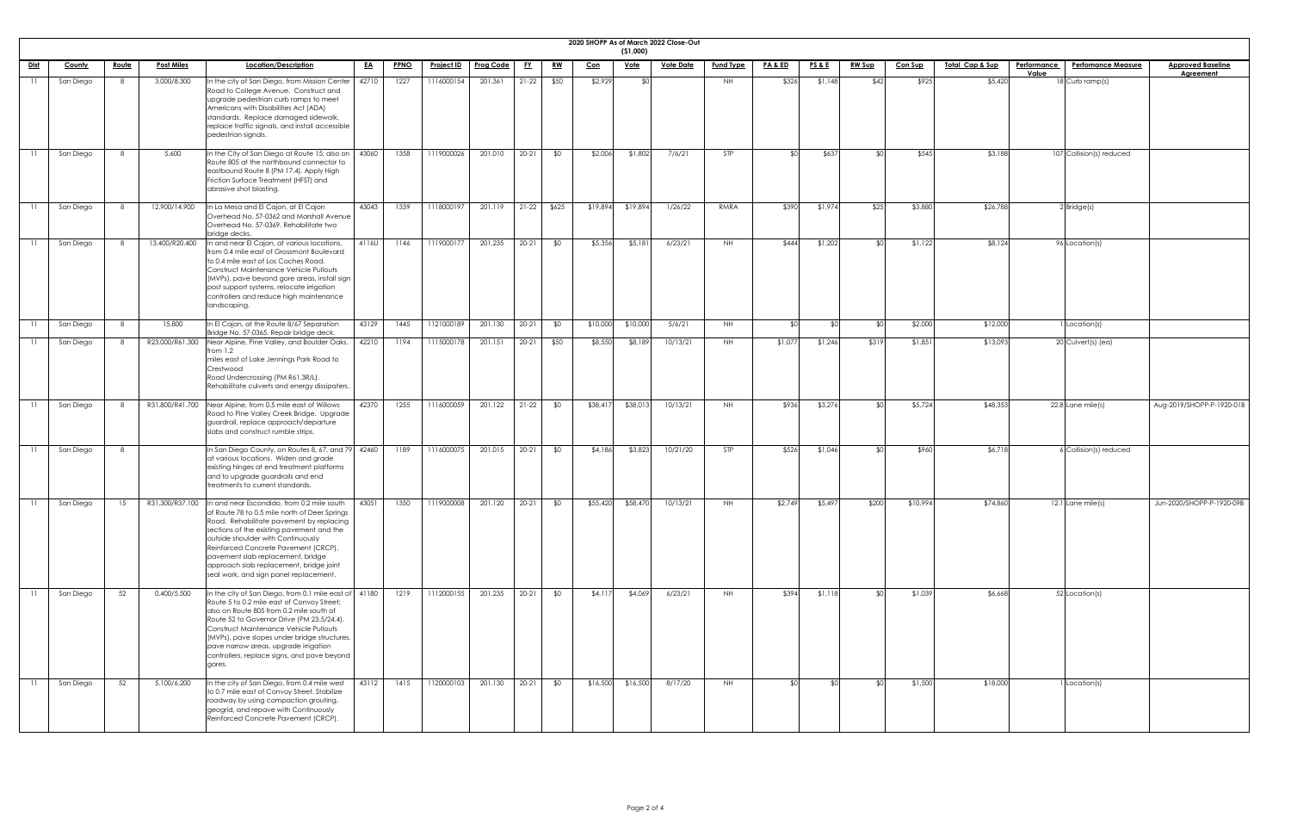|             |               |              |                   |                                                                                                                                                                                                                                                                                                                                                                                                   |           |             |                   |                  |           |               |            | (51,000)    | 2020 SHOPP As of March 2022 Close-Out |                  |                    |                 |                |                |                            |                    |                           |                           |
|-------------|---------------|--------------|-------------------|---------------------------------------------------------------------------------------------------------------------------------------------------------------------------------------------------------------------------------------------------------------------------------------------------------------------------------------------------------------------------------------------------|-----------|-------------|-------------------|------------------|-----------|---------------|------------|-------------|---------------------------------------|------------------|--------------------|-----------------|----------------|----------------|----------------------------|--------------------|---------------------------|---------------------------|
| <u>Dist</u> | <b>County</b> | <u>Route</u> | <b>Post Miles</b> | Location/Description                                                                                                                                                                                                                                                                                                                                                                              | <u>EA</u> | <b>PPNO</b> | <u>Project ID</u> | <b>Prog Code</b> | <u>FY</u> | <u>RW</u>     | <u>Con</u> | <u>Vote</u> | <u>Vote Date</u>                      | <b>Fund Type</b> | <u>PA &amp; ED</u> | <u>PS&amp;E</u> | <b>RW Sup</b>  | <b>Con Sup</b> | <u>Total Cap &amp; Sup</u> | <b>Performance</b> | <b>Perfomance Measure</b> | <b>Approved Baseline</b>  |
|             | San Diego     | 8            | 3.000/8.300       | In the city of San Diego, from Mission Center<br>Road to College Avenue. Construct and<br>upgrade pedestrian curb ramps to meet<br>Americans with Disabilities Act (ADA)<br>standards. Replace damaged sidewalk,<br>replace traffic signals, and install accessible<br>pedestrian signals.                                                                                                        | 42710     | 1227        | 1116000154        | 201.361          | $21-22$   | \$50          | \$2,929    | - \$0.      |                                       | NH               | \$326              | \$1,148         | \$42           | \$925          | \$5,420                    | Value              | $18$ Curb ramp(s)         | <b>Agreement</b>          |
|             | San Diego     | 8            | 5.600             | In the City of San Diego at Route 15; also on<br>Route 805 at the northbound connector to<br>eastbound Route 8 (PM 17.4). Apply High<br>Friction Surface Treatment (HFST) and<br>abrasive shot blasting.                                                                                                                                                                                          | 43060     | 1358        | 1119000026        | 201.010          | $20-21$   | \$0           | \$2,006    | \$1,802     | 7/6/21                                | STP              | ⊄∩                 | \$637           | ¢Λ             | \$545          | \$3,188                    |                    | 107 Collision(s) reduced  |                           |
|             | San Diego     | 8            | 12.900/14.900     | In La Mesa and El Cajon, at El Cajon<br>Overhead No. 57-0362 and Marshall Avenue<br>Overhead No. 57-0369. Rehabilitate two<br>bridge decks.                                                                                                                                                                                                                                                       | 43043     | 1339        | 1118000197        | 201.119          |           | $21-22$ \$625 | \$19,894   | \$19,894    | 1/26/22                               | RMRA             | \$390              | \$1,974         | \$25           | \$3,880        | \$26,788                   |                    | $2$ Bridge(s)             |                           |
|             | San Diego     | 8            | 13.400/R20.400    | In and near El Cajon, at various locations,<br>from 0.4 mile east of Grossmont Boulevard<br>to 0.4 mile east of Los Coches Road.<br><b>Construct Maintenance Vehicle Pullouts</b><br>(MVPs), pave beyond gore areas, install sign<br>post support systems, relocate irrigation<br>controllers and reduce high maintenance<br>landscaping.                                                         | 4116U     | 1146        | 1119000177        | 201.235          | $20-21$   | \$0           | \$5,356    | \$5,181     | 6/23/21                               | NH.              | \$444              | \$1,202         |                | \$1,122        | \$8,124                    |                    | 96 Location(s)            |                           |
|             | San Diego     | 8            | 15.800            | In El Cajon, at the Route 8/67 Separation<br>Bridge No. 57-0365. Repair bridge deck.                                                                                                                                                                                                                                                                                                              | 43129     | 1445        | 1121000189        | 201.130          | $20-21$   | \$0           | \$10,000   | \$10,000    | 5/6/21                                | NH               | ተ                  |                 |                | \$2,000        | \$12,000                   |                    | 1 Location(s)             |                           |
|             | San Diego     |              |                   | R23.000/R61.300 Near Alpine, Pine Valley, and Boulder Oaks,   42210<br>from 1.2<br>miles east of Lake Jennings Park Road to<br>Crestwood<br>Road Undercrossing (PM R61.3R/L).<br>Rehabilitate culverts and energy dissipaters.                                                                                                                                                                    |           | 1194        | 1115000178        | 201.151          | $20-21$   | \$50          | \$8,550    | \$8,189     | 10/13/21                              | NH.              | \$1,077            | \$1,246         | \$319          | \$1,851        | \$13,093                   |                    | 20 Culvert(s) (ea)        |                           |
|             | San Diego     | - 8          | R31.800/R41.700   | Near Alpine, from 0.5 mile east of Willows<br>Road to Pine Valley Creek Bridge. Upgrade<br>guardrail, replace approach/departure<br>slabs and construct rumble strips.                                                                                                                                                                                                                            | 42370     | 1255        | 1116000059        | 201.122          | $21-22$   | \$0           | \$38,417   | \$38,013    | 10/13/21                              | <b>NH</b>        | \$936              | \$3,276         |                | \$5,724        | \$48,353                   |                    | 22.8 Lane mile(s)         | Aug-2019/SHOPP-P-1920-01B |
|             | San Diego     | 8            |                   | In San Diego County, on Routes 8, 67, and 79 42460<br>at various locations. Widen and grade<br>existing hinges at end treatment platforms<br>and to upgrade guardrails and end<br>treatments to current standards.                                                                                                                                                                                |           | 1189        | 1116000075        | 201.015          | $20-21$   | \$0           | \$4,186    | \$3,823     | 10/21/20                              | <b>STP</b>       | \$526              | \$1,046         | $\mathfrak{g}$ | \$960          | \$6,718                    |                    | 6 Collision(s) reduced    |                           |
|             | San Diego     | 15           | R31.300/R37.100   | In and near Escondido, from 0.2 mile south<br>of Route 78 to 0.5 mile north of Deer Springs<br>Road. Rehabilitate pavement by replacing<br>sections of the existing pavement and the<br>outside shoulder with Continuously<br>Reinforced Concrete Pavement (CRCP),<br>pavement slab replacement, bridge<br>approach slab replacement, bridge joint<br>seal work, and sign panel replacement.      | 43051     | 1350        | 1119000008        | 201.120          | $20-21$   | \$0           | \$55,420   | \$58,470    | 10/13/21                              | <b>NH</b>        | \$2,749            | \$5,497         | \$200          | \$10,994       | \$74,860                   |                    | $12.1$ Lane mile(s)       | Jun-2020/SHOPP-P-1920-09B |
|             | San Diego     | 52           | 0.400/5.500       | In the city of San Diego, from 0.1 mile east of  41180<br>Route 5 to 0.2 mile east of Convoy Street;<br>also on Route 805 from 0.2 mile south of<br>Route 52 to Governor Drive (PM 23.5/24.4).<br><b>Construct Maintenance Vehicle Pullouts</b><br>(MVPs), pave slopes under bridge structures,<br>pave narrow areas, upgrade irrigation<br>controllers, replace signs, and pave beyond<br>gores. |           | 1219        | 1112000155        | 201.235          | $20-21$   | \$0           | \$4,117    | \$4,069     | 6/23/21                               | NH               | \$394              | \$1,118         | ₫∩             | \$1,039        | \$6,668                    |                    | 52 Location(s)            |                           |
|             | San Diego     | 52           | 5.100/6.200       | In the city of San Diego, from 0.4 mile west<br>to 0.7 mile east of Convoy Street. Stabilize<br>roadway by using compaction grouting,<br>geogrid, and repave with Continuously<br>Reinforced Concrete Pavement (CRCP).                                                                                                                                                                            | 43112     | 1415        | 1120000103        | 201.130          |           | $20-21$ \$0   | \$16,500   | \$16,500    | 8/17/20                               | <b>NH</b>        | $\mathfrak{C}$     | -\$01           | ו∩≯            | \$1,500        | \$18,000                   |                    | 1 Location(s)             |                           |

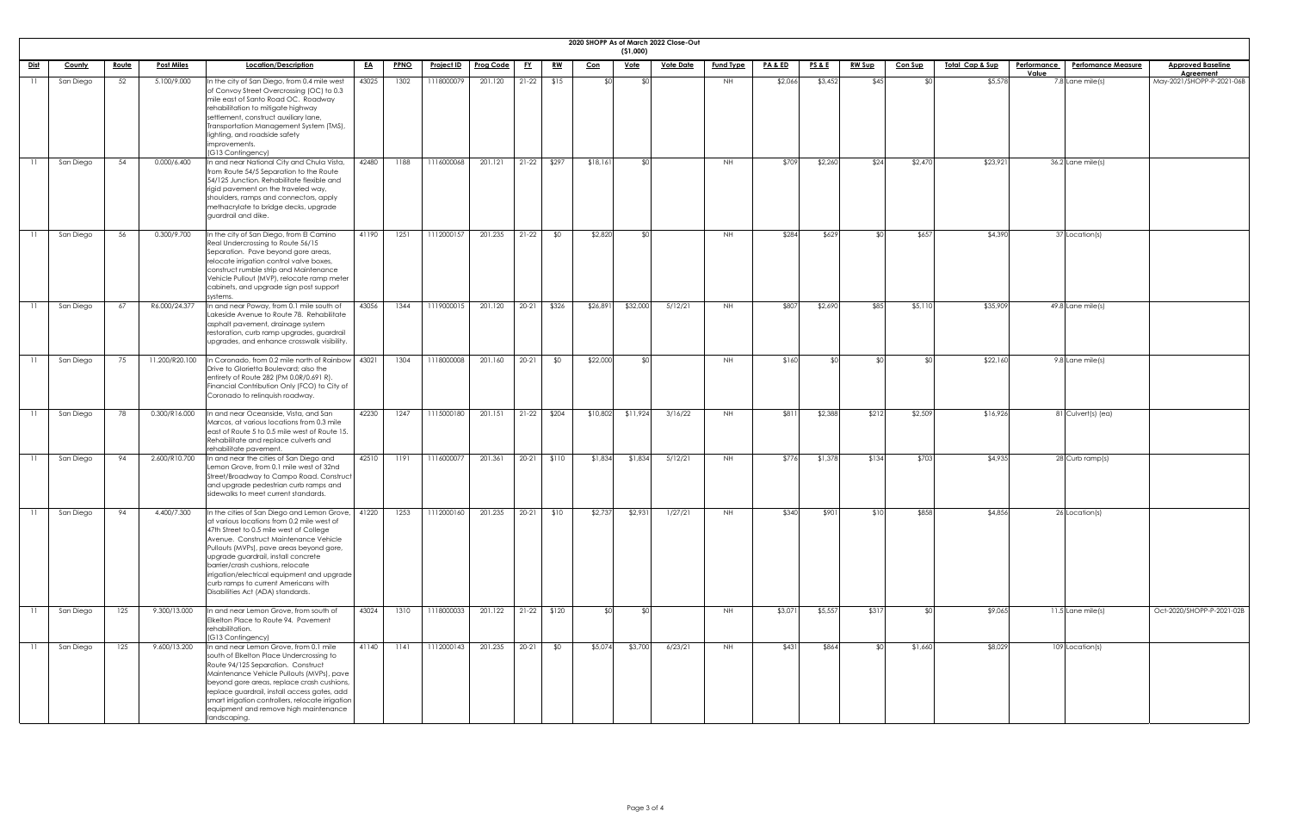|                 |               |              |                   |                                                                                                                                                                                                                                                                                                                                                                                                                                  |           |             |                   |                  |           |           |          | (51,000)    | 2020 SHOPP As of March 2022 Close-Out |                  |                    |                 |               |                |                             |                                                          |                                              |
|-----------------|---------------|--------------|-------------------|----------------------------------------------------------------------------------------------------------------------------------------------------------------------------------------------------------------------------------------------------------------------------------------------------------------------------------------------------------------------------------------------------------------------------------|-----------|-------------|-------------------|------------------|-----------|-----------|----------|-------------|---------------------------------------|------------------|--------------------|-----------------|---------------|----------------|-----------------------------|----------------------------------------------------------|----------------------------------------------|
| <u>Dist</u>     | <b>County</b> | <u>Route</u> | <b>Post Miles</b> | Location/Description                                                                                                                                                                                                                                                                                                                                                                                                             | <u>EA</u> | <b>PPNO</b> | <u>Project ID</u> | <b>Prog Code</b> | <u>FY</u> | <u>RW</u> | $Con$    | <u>Vote</u> | <b>Vote Date</b>                      | <b>Fund Type</b> | <u>PA &amp; ED</u> | <u>PS&amp;E</u> | <b>RW Sup</b> | <b>Con Sup</b> | <u> Total Cap &amp; Sup</u> | <b>Performance</b><br><b>Perfomance Measure</b><br>Value | <b>Approved Baseline</b><br><b>Agreement</b> |
| $\overline{11}$ | San Diego     | 52           | 5.100/9.000       | In the city of San Diego, from 0.4 mile west<br>of Convoy Street Overcrossing (OC) to 0.3<br>mile east of Santo Road OC. Roadway<br>rehabilitation to mitigate highway<br>settlement, construct auxiliary lane,<br>Transportation Management System (TMS),<br>lighting, and roadside safety<br>improvements.<br>(G13 Contingency)                                                                                                | 43025     | 1302        | 1118000079        | 201.120          | $21-22$   | \$15      |          |             |                                       | NH .             | \$2,066            | \$3,452         | \$45          |                | \$5,578                     | 7.8 Lane mile(s)                                         | May-2021/SHOPP-P-2021-06B                    |
| 11              | San Diego     | 54           | 0.000/6.400       | In and near National City and Chula Vista,<br>from Route 54/5 Separation to the Route<br>54/125 Junction. Rehabilitate flexible and<br>rigid pavement on the traveled way,<br>shoulders, ramps and connectors, apply<br>methacrylate to bridge decks, upgrade<br>guardrail and dike.                                                                                                                                             | 42480     | 1188        | 1116000068        | 201.121          | $21-22$   | \$297     | \$18,16  |             |                                       | <b>NH</b>        | \$709              | \$2,260         | \$24          | \$2,470        | \$23,921                    | 36.2 Lane mile(s)                                        |                                              |
|                 | San Diego     | 56           | 0.300/9.700       | In the city of San Diego, from El Camino<br>Real Undercrossing to Route 56/15<br>Separation. Pave beyond gore areas,<br>relocate irrigation control valve boxes,<br>construct rumble strip and Maintenance<br>Vehicle Pullout (MVP), relocate ramp meter<br>cabinets, and upgrade sign post support<br>systems.                                                                                                                  | 41190     | 1251        | 1112000157        | 201.235          | $21-22$   | \$0       | \$2,82   |             |                                       | <b>NH</b>        | \$284              | \$629           |               | \$657          | \$4,390                     | 37 Location(s)                                           |                                              |
|                 | San Diego     | 67           | R6.000/24.377     | In and near Poway, from 0.1 mile south of<br>Lakeside Avenue to Route 78. Rehabilitate<br>asphalt pavement, drainage system<br>restoration, curb ramp upgrades, guardrail<br>upgrades, and enhance crosswalk visibility.                                                                                                                                                                                                         | 43056     | 1344        | 1119000015        | 201.120          | $20-21$   | \$326     | \$26,89  | \$32,000    | 5/12/21                               | NH .             | \$807              | \$2,690         | \$85          | \$5,110        | \$35,909                    | $49.8$ Lane mile(s)                                      |                                              |
|                 | San Diego     | 75           | 11.200/R20.100    | In Coronado, from 0.2 mile north of Rainbow<br>Drive to Glorietta Boulevard; also the<br>entirety of Route 282 (PM 0.0R/0.691 R).<br>Financial Contribution Only (FCO) to City of<br>Coronado to relinquish roadway.                                                                                                                                                                                                             | 43021     | 1304        | 1118000008        | 201.160          | $20 - 21$ | \$0       | \$22,000 |             |                                       | NH .             | \$160              |                 |               |                | \$22,160                    | 9.8 Lane mile(s)                                         |                                              |
|                 | San Diego     | 78           | 0.300/R16.000     | In and near Oceanside, Vista, and San<br>Marcos, at various locations from 0.3 mile<br>east of Route 5 to 0.5 mile west of Route 15.<br>Rehabilitate and replace culverts and<br>rehabilitate pavement.                                                                                                                                                                                                                          | 42230     | 1247        | 1115000180        | 201.151          | $21-22$   | \$204     | \$10,802 | \$11,924    | 3/16/22                               | NH .             | \$811              | \$2,388         | \$212         | \$2,509        | \$16,926                    | 81 Culvert(s) (ea)                                       |                                              |
|                 | San Diego     | 94           | 2.600/R10.700     | In and near the cities of San Diego and<br>Lemon Grove, from 0.1 mile west of 32nd<br>Street/Broadway to Campo Road. Construct<br>and upgrade pedestrian curb ramps and<br>sidewalks to meet current standards.                                                                                                                                                                                                                  | 42510     | 1191        | 1116000077        | 201.361          | $20-21$   | \$110     | \$1,834  | \$1,834     | 5/12/21                               | NH .             | \$776              | \$1,378         | \$134         | \$703          | \$4,935                     | 28 Curb ramp(s)                                          |                                              |
|                 | San Diego     | 94           | 4.400/7.300       | In the cities of San Diego and Lemon Grove,<br>at various locations from 0.2 mile west of<br>47th Street to 0.5 mile west of College<br>Avenue. Construct Maintenance Vehicle<br>Pullouts (MVPs), pave areas beyond gore,<br>upgrade guardrail, install concrete<br>barrier/crash cushions, relocate<br>irrigation/electrical equipment and upgrade<br>curb ramps to current Americans with<br>Disabilities Act (ADA) standards. | 41220     | 1253        | 1112000160        | 201.235          | $20-21$   | \$10      | \$2,73   | \$2,93      | 1/27/21                               | NH.              | \$340              | \$901           | \$10          | \$858          | \$4,856                     | 26 Location(s)                                           |                                              |
|                 | San Diego     | 125          | 9.300/13.000      | In and near Lemon Grove, from south of<br>Elkelton Place to Route 94. Pavement<br>rehabilitation.<br>(G13 Contingency)                                                                                                                                                                                                                                                                                                           | 43024     | 1310        | 1118000033        | 201.122          | $21-22$   | \$120     |          |             |                                       | NH.              | \$3,071            | \$5,557         | \$317         |                | \$9,065                     | $11.5$ Lane mile(s)                                      | Oct-2020/SHOPP-P-2021-02B                    |
|                 | San Diego     | 125          | 9.600/13.200      | In and near Lemon Grove, from 0.1 mile<br>south of Elkelton Place Undercrossing to<br>Route 94/125 Separation. Construct<br>Maintenance Vehicle Pullouts (MVPs), pave<br>beyond gore areas, replace crash cushions,<br>replace guardrail, install access gates, add<br>smart irrigation controllers, relocate irrigation<br>equipment and remove high maintenance<br>landscaping.                                                | 41140     | 1141        | 1112000143        | 201.235          | $20-21$   | \$0       | \$5,074  | \$3,700     | 6/23/21                               |                  | \$431              | \$864           |               | \$1,660        | \$8,029                     | 109 Location(s)                                          |                                              |